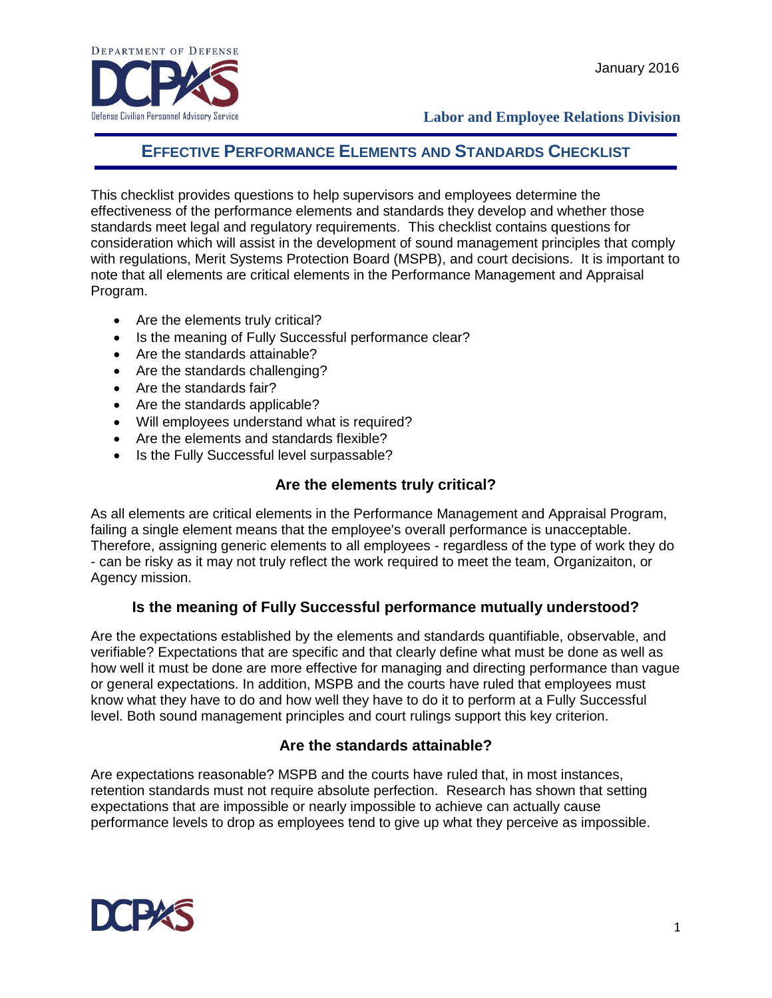

**Labor and Employee Relations Division**

### **EFFECTIVE PERFORMANCE ELEMENTS AND STANDARDS CHECKLIST**

This checklist provides questions to help supervisors and employees determine the effectiveness of the performance elements and standards they develop and whether those standards meet legal and regulatory requirements. This checklist contains questions for consideration which will assist in the development of sound management principles that comply with regulations, Merit Systems Protection Board (MSPB), and court decisions. It is important to note that all elements are critical elements in the Performance Management and Appraisal Program.

- Are the elements truly critical?
- Is the meaning of Fully Successful performance clear?
- Are the standards attainable?
- Are the standards challenging?
- Are the standards fair?
- Are the standards applicable?
- Will employees understand what is required?
- Are the elements and standards flexible?
- Is the Fully Successful level surpassable?

### **Are the elements truly critical?**

As all elements are critical elements in the Performance Management and Appraisal Program, failing a single element means that the employee's overall performance is unacceptable. Therefore, assigning generic elements to all employees - regardless of the type of work they do - can be risky as it may not truly reflect the work required to meet the team, Organizaiton, or Agency mission.

### **Is the meaning of Fully Successful performance mutually understood?**

Are the expectations established by the elements and standards quantifiable, observable, and verifiable? Expectations that are specific and that clearly define what must be done as well as how well it must be done are more effective for managing and directing performance than vague or general expectations. In addition, MSPB and the courts have ruled that employees must know what they have to do and how well they have to do it to perform at a Fully Successful level. Both sound management principles and court rulings support this key criterion.

### **Are the standards attainable?**

Are expectations reasonable? MSPB and the courts have ruled that, in most instances, retention standards must not require absolute perfection. Research has shown that setting expectations that are impossible or nearly impossible to achieve can actually cause performance levels to drop as employees tend to give up what they perceive as impossible.